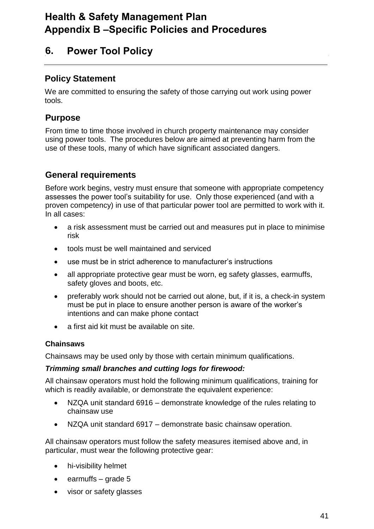# **Health & Safety Management Plan Appendix B –Specific Policies and Procedures**

## **6. Power Tool Policy**

### **Policy Statement**

We are committed to ensuring the safety of those carrying out work using power tools.

## **Purpose**

From time to time those involved in church property maintenance may consider using power tools. The procedures below are aimed at preventing harm from the use of these tools, many of which have significant associated dangers.

## **General requirements**

Before work begins, vestry must ensure that someone with appropriate competency assesses the power tool's suitability for use. Only those experienced (and with a proven competency) in use of that particular power tool are permitted to work with it. In all cases:

- a risk assessment must be carried out and measures put in place to minimise risk
- tools must be well maintained and serviced
- use must be in strict adherence to manufacturer's instructions
- all appropriate protective gear must be worn, eg safety glasses, earmuffs, safety gloves and boots, etc.
- preferably work should not be carried out alone, but, if it is, a check-in system must be put in place to ensure another person is aware of the worker's intentions and can make phone contact
- a first aid kit must be available on site.

#### **Chainsaws**

Chainsaws may be used only by those with certain minimum qualifications.

#### *Trimming small branches and cutting logs for firewood:*

All chainsaw operators must hold the following minimum qualifications, training for which is readily available, or demonstrate the equivalent experience:

- NZQA unit standard 6916 demonstrate knowledge of the rules relating to chainsaw use
- NZQA unit standard 6917 demonstrate basic chainsaw operation.

All chainsaw operators must follow the safety measures itemised above and, in particular, must wear the following protective gear:

- hi-visibility helmet
- $\bullet$  earmuffs grade 5
- visor or safety glasses